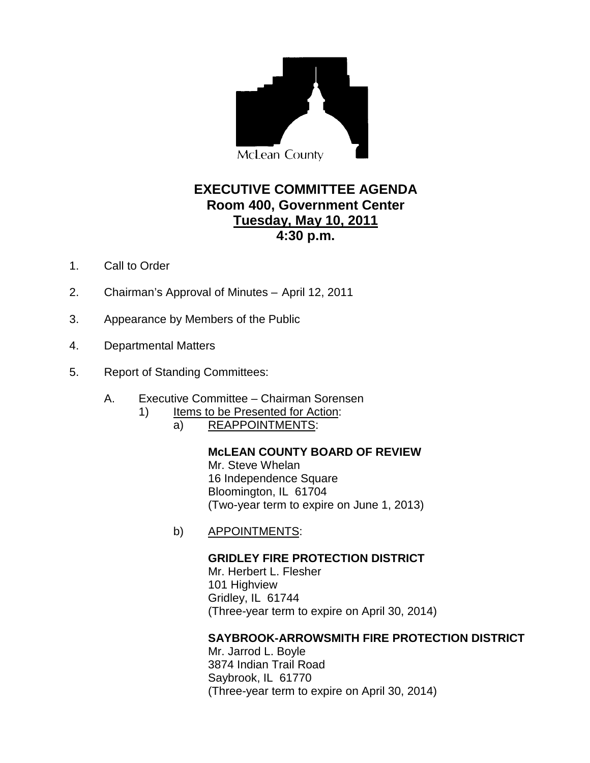

# **EXECUTIVE COMMITTEE AGENDA Room 400, Government Center 4:30 p.m. Tuesday, May 10, 2011**

- 1. Call to Order
- 2. Chairman's Approval of Minutes April 12, 2011
- 3. Appearance by Members of the Public
- 4. Departmental Matters
- 5. Report of Standing Committees:
	- A. Executive Committee Chairman Sorensen
		- 1) Items to be Presented for Action:
			- a) REAPPOINTMENTS:

#### **McLEAN COUNTY BOARD OF REVIEW** Mr. Steve Whelan 16 Independence Square Bloomington, IL 61704 (Two-year term to expire on June 1, 2013)

b) APPOINTMENTS:

**GRIDLEY FIRE PROTECTION DISTRICT** Mr. Herbert L. Flesher 101 Highview Gridley, IL 61744 (Three-year term to expire on April 30, 2014)

### **SAYBROOK-ARROWSMITH FIRE PROTECTION DISTRICT**

Mr. Jarrod L. Boyle 3874 Indian Trail Road Saybrook, IL 61770 (Three-year term to expire on April 30, 2014)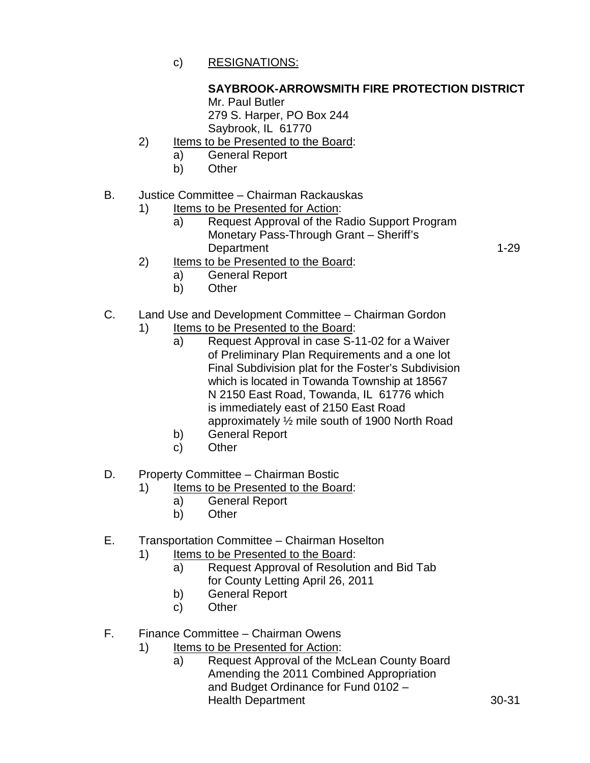c) RESIGNATIONS:

## **SAYBROOK-ARROWSMITH FIRE PROTECTION DISTRICT**

Mr. Paul Butler 279 S. Harper, PO Box 244 Saybrook, IL 61770

- 2) Items to be Presented to the Board:
	- a) General Report
	- b) Other

### B. Justice Committee – Chairman Rackauskas

- 1) Items to be Presented for Action:
	- a) Request Approval of the Radio Support Program Monetary Pass-Through Grant – Sheriff's Department 1-29
- 2) Items to be Presented to the Board:
	- a) General Report
	- b) Other
- C. Land Use and Development Committee Chairman Gordon
	- 1) Items to be Presented to the Board:
		- a) Request Approval in case S-11-02 for a Waiver of Preliminary Plan Requirements and a one lot Final Subdivision plat for the Foster's Subdivision which is located in Towanda Township at 18567 N 2150 East Road, Towanda, IL 61776 which is immediately east of 2150 East Road approximately ½ mile south of 1900 North Road
		- b) General Report
		- c) Other
- D. Property Committee Chairman Bostic
	- 1) Items to be Presented to the Board:
		- a) General Report
		- b) Other
- E. Transportation Committee Chairman Hoselton
	- 1) Items to be Presented to the Board:
		- a) Request Approval of Resolution and Bid Tab for County Letting April 26, 2011
		- b) General Report
		- c) Other

F. Finance Committee – Chairman Owens

- 1) Items to be Presented for Action:
	- a) Request Approval of the McLean County Board Amending the 2011 Combined Appropriation and Budget Ordinance for Fund 0102 – Health Department 30-31